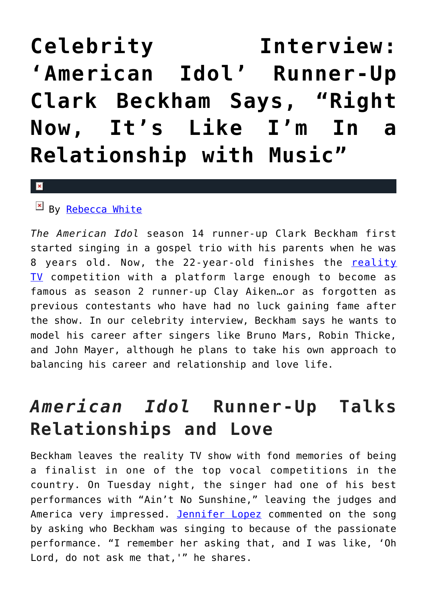## **[Celebrity Interview:](https://cupidspulse.com/92947/american-idol-clark-beckham-celebrity-interview/) ['American Idol' Runner-Up](https://cupidspulse.com/92947/american-idol-clark-beckham-celebrity-interview/) [Clark Beckham Says, "Right](https://cupidspulse.com/92947/american-idol-clark-beckham-celebrity-interview/) [Now, It's Like I'm In a](https://cupidspulse.com/92947/american-idol-clark-beckham-celebrity-interview/) [Relationship with Music"](https://cupidspulse.com/92947/american-idol-clark-beckham-celebrity-interview/)**

## $\mathbf{x}$

 $By$  [Rebecca White](http://cupidspulse.com/104603/rebecca-white/)

*The American Idol* season 14 runner-up Clark Beckham first started singing in a gospel trio with his parents when he was 8 years old. Now, the 22-year-old finishes the [reality](http://cupidspulse.com/reality-tv-couples/) [TV](http://cupidspulse.com/reality-tv-couples/) competition with a platform large enough to become as famous as season 2 runner-up Clay Aiken…or as forgotten as previous contestants who have had no luck gaining fame after the show. In our celebrity interview, Beckham says he wants to model his career after singers like Bruno Mars, Robin Thicke, and John Mayer, although he plans to take his own approach to balancing his career and relationship and love life.

## *American Idol* **Runner-Up Talks Relationships and Love**

Beckham leaves the reality TV show with fond memories of being a finalist in one of the top vocal competitions in the country. On Tuesday night, the singer had one of his best performances with "Ain't No Sunshine," leaving the judges and America very impressed. [Jennifer Lopez](http://cupidspulse.com/86083/jennifer-lopez/) commented on the song by asking who Beckham was singing to because of the passionate performance. "I remember her asking that, and I was like, 'Oh Lord, do not ask me that,'" he shares.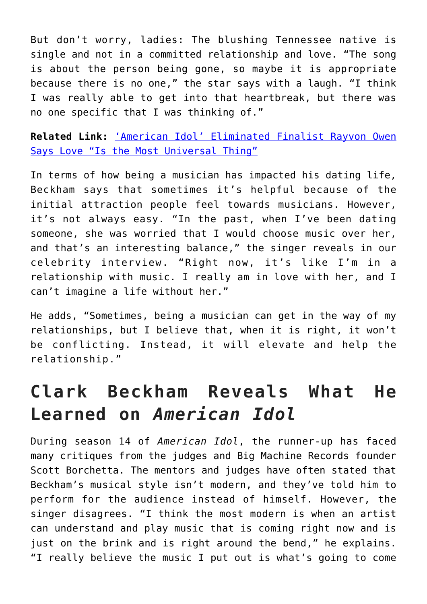But don't worry, ladies: The blushing Tennessee native is single and not in a committed relationship and love. "The song is about the person being gone, so maybe it is appropriate because there is no one," the star says with a laugh. "I think I was really able to get into that heartbreak, but there was no one specific that I was thinking of."

**Related Link:** ['American Idol' Eliminated Finalist Rayvon Owen](http://cupidspulse.com/92694/american-idol-celebrity-interview-rayvon-owen/) [Says Love "Is the Most Universal Thing"](http://cupidspulse.com/92694/american-idol-celebrity-interview-rayvon-owen/)

In terms of how being a musician has impacted his dating life, Beckham says that sometimes it's helpful because of the initial attraction people feel towards musicians. However, it's not always easy. "In the past, when I've been dating someone, she was worried that I would choose music over her, and that's an interesting balance," the singer reveals in our celebrity interview. "Right now, it's like I'm in a relationship with music. I really am in love with her, and I can't imagine a life without her."

He adds, "Sometimes, being a musician can get in the way of my relationships, but I believe that, when it is right, it won't be conflicting. Instead, it will elevate and help the relationship."

## **Clark Beckham Reveals What He Learned on** *American Idol*

During season 14 of *American Idol*, the runner-up has faced many critiques from the judges and Big Machine Records founder Scott Borchetta. The mentors and judges have often stated that Beckham's musical style isn't modern, and they've told him to perform for the audience instead of himself. However, the singer disagrees. "I think the most modern is when an artist can understand and play music that is coming right now and is just on the brink and is right around the bend," he explains. "I really believe the music I put out is what's going to come